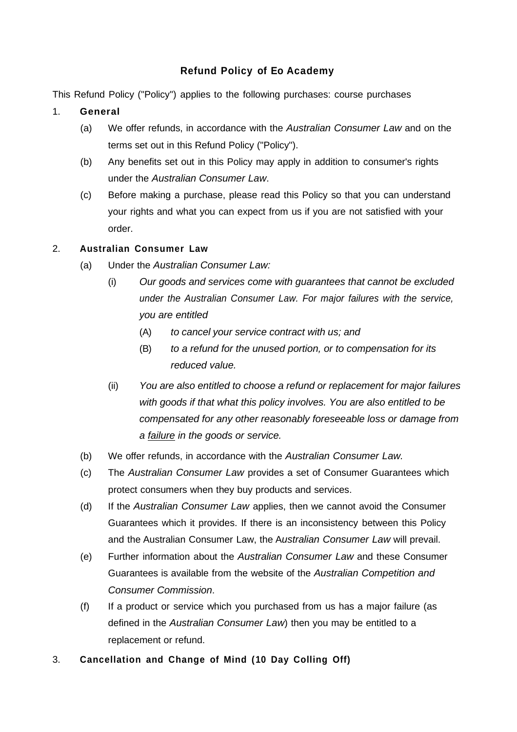# **Refund Policy of Eo Academy**

This Refund Policy ("Policy") applies to the following purchases: course purchases

- 1. **General**
	- (a) We offer refunds, in accordance with the *Australian Consumer Law* and on the terms set out in this Refund Policy ("Policy").
	- (b) Any benefits set out in this Policy may apply in addition to consumer's rights under the *Australian Consumer Law*.
	- (c) Before making a purchase, please read this Policy so that you can understand your rights and what you can expect from us if you are not satisfied with your order.

## 2. **Australian Consumer Law**

- (a) Under the *Australian Consumer Law:*
	- (i) *Our goods and services come with guarantees that cannot be excluded under the Australian Consumer Law. For major failures with the service, you are entitled*
		- (A) *to cancel your service contract with us; and*
		- (B) *to a refund for the unused portion, or to compensation for its reduced value.*
	- (ii) *You are also entitled to choose a refund or replacement for major failures with goods if that what this policy involves. You are also entitled to be compensated for any other reasonably foreseeable loss or damage from a failure in the goods or service.*
- (b) We offer refunds, in accordance with the *Australian Consumer Law.*
- (c) The *Australian Consumer Law* provides a set of Consumer Guarantees which protect consumers when they buy products and services.
- (d) If the *Australian Consumer Law* applies, then we cannot avoid the Consumer Guarantees which it provides. If there is an inconsistency between this Policy and the Australian Consumer Law, the A*ustralian Consumer Law* will prevail.
- (e) Further information about the *Australian Consumer Law* and these Consumer Guarantees is available from the website of the *Australian Competition and Consumer Commission*.
- (f) If a product or service which you purchased from us has a major failure (as defined in the *Australian Consumer Law*) then you may be entitled to a replacement or refund.
- 3. **Cancellation and Change of Mind (10 Day Colling Off)**